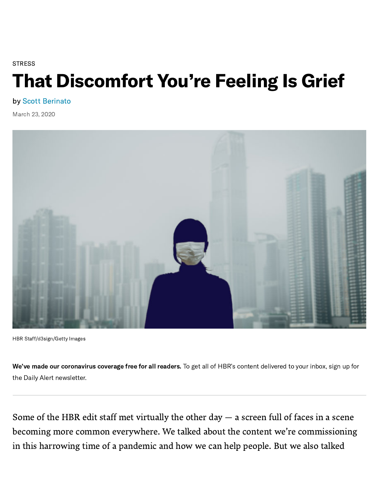# **[STRESS](https://hbr.org/topic/stress)** That Discomfort You're Feeling Is Grief

by Scott [Berinato](https://hbr.org/search?term=scott%20berinato)

March 23, 2020



HBR Staff/d3sign/Getty Images

We've made our [coronavirus](https://hbr.org/insight-center/coronavirus?ab=articlewidget-insightcenter-coronavirus) coverage free for all readers. To get all of HBR's content delivered to your inbox, sign up for the [Daily](https://hbr.org/email-newsletters?ab=articlewidget-newsletter-coronavirus&movetile=dailyalert) Alert newsletter.

Some of the HBR edit staff met virtually the other day  $-$  a screen full of faces in a scene becoming more common everywhere. We talked about the content we're commissioning in this harrowing time of a [pandemic](https://hbr.org/insight-center/coronavirus) and how we can help people. But we also talked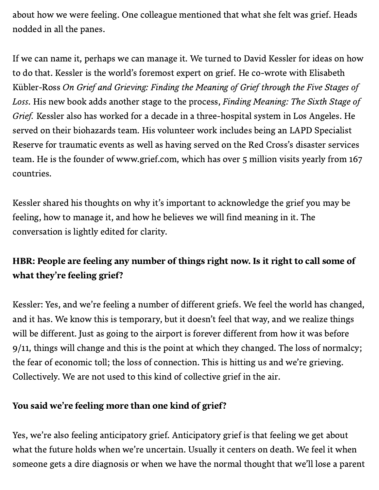about how we were feeling. One colleague mentioned that what she felt was grief. Heads nodded in all the panes.

If we can name it, perhaps we can manage it. We turned to David Kessler for ideas on how to do that. Kessler is the world's foremost expert on grief. He co-wrote with Elisabeth [Kübler-Ross](https://www.amazon.com/Grief-Grieving-Finding-Meaning-Through/dp/1476775559) On Grief and Grieving: Finding the Meaning of Grief through the Five Stages of Loss. His new book adds another stage to the process, Finding Meaning: The Sixth Stage of Grief. Kessler also has worked for a decade in a [three-hospital](https://www.amazon.com/Finding-Meaning-Sixth-Stage-Grief/dp/1501192736) system in Los Angeles. He served on their biohazards team. His volunteer work includes being an LAPD Specialist Reserve for traumatic events as well as having served on the Red Cross's disaster services team. He is the founder of [www.grief.com](http://www.grief.com/), which has over 5 million visits yearly from 167 countries.

Kessler shared his thoughts on why it's important to acknowledge the grief you may be feeling, how to manage it, and how he believes we will find meaning in it. The conversation is lightly edited for clarity.

# HBR: People are feeling any number of things right now. Is it right to call some of what they're feeling grief?

Kessler: Yes, and we're feeling a number of different griefs. We feel the world has changed, and it has. We know this is temporary, but it doesn't feel that way, and we realize things will be different. Just as going to the airport is forever different from how it was before 9/11, things will change and this is the point at which they changed. The loss of normalcy; the fear of economic toll; the loss of connection. This is hitting us and we're grieving. Collectively. We are not used to this kind of collective grief in the air.

### You said we're feeling more than one kind of grief?

Yes, we're also feeling anticipatory grief. Anticipatory grief is that feeling we get about what the future holds when we're uncertain. Usually it centers on death. We feel it when someone gets a dire diagnosis or when we have the normal thought that we'll lose a parent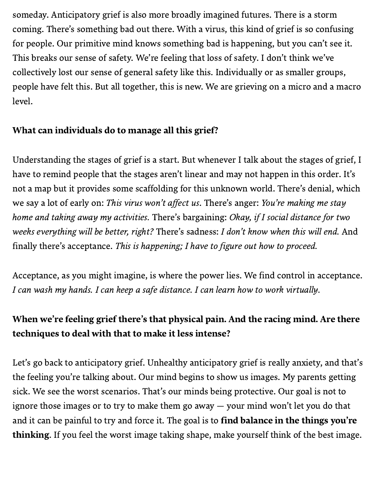someday. Anticipatory grief is also more broadly imagined futures. There is a storm coming. There's something bad out there. With a virus, this kind of grief is so confusing for people. Our primitive mind knows something bad is happening, but you can't see it. This breaks our sense of safety. We're feeling that loss of safety. I don't think we've collectively lost our sense of general safety like this. Individually or as smaller groups, people have felt this. But all together, this is new. We are grieving on a micro and a macro level.

### What can individuals do to manage all this grief?

Understanding the stages of grief is a start. But whenever I talk about the stages of grief, I have to remind people that the stages aren't linear and may not happen in this order. It's not a map but it provides some scaffolding for this unknown world. There's denial, which we say a lot of early on: This virus won't affect us. There's anger: You're making me stay home and taking away my activities. There's bargaining: Okay, if I social distance for two weeks everything will be better, right? There's sadness: I don't know when this will end. And finally there's acceptance. This is happening; I have to figure out how to proceed.

Acceptance, as you might imagine, is where the power lies. We find control in acceptance. I can wash my hands. I can keep a safe distance. I can learn how to work virtually.

# When we're feeling grief there's that physical pain. And the racing mind. Are there techniques to deal with that to make it less intense?

Let's go back to anticipatory grief. Unhealthy anticipatory grief is really anxiety, and that's the feeling you're talking about. Our mind begins to show us images. My parents getting sick. We see the worst scenarios. That's our minds being protective. Our goal is not to ignore those images or to try to make them go away — your mind won't let you do that and it can be painful to try and force it. The goal is to find balance in the things you're thinking. If you feel the worst image taking shape, make yourself think of the best image.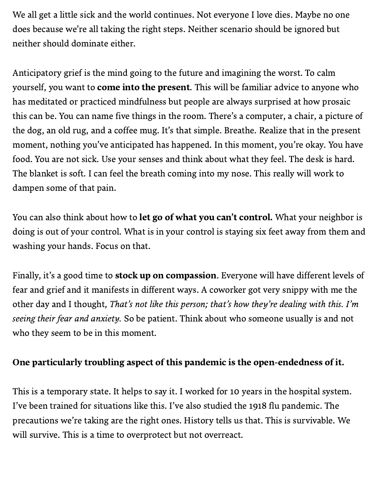We all get a little sick and the world continues. Not everyone I love dies. Maybe no one does because we're all taking the right steps. Neither scenario should be ignored but neither should dominate either.

Anticipatory grief is the mind going to the future and imagining the worst. To calm yourself, you want to come into the present. This will be familiar advice to anyone who has meditated or practiced mindfulness but people are always surprised at how prosaic this can be. You can name five things in the room. There's a computer, a chair, a picture of the dog, an old rug, and a coffee mug. It's that simple. Breathe. Realize that in the present moment, nothing you've anticipated has happened. In this moment, you're okay. You have food. You are not sick. Use your senses and think about what they feel. The desk is hard. The blanket is soft. I can feel the breath coming into my nose. This really will work to dampen some of that pain.

You can also think about how to let go of what you can't control. What your neighbor is doing is out of your control. What is in your control is staying six feet away from them and washing your hands. Focus on that.

Finally, it's a good time to stock up on compassion. Everyone will have different levels of fear and grief and it manifests in different ways. A coworker got very snippy with me the other day and I thought, That's not like this person; that's how they're dealing with this. I'm seeing their fear and anxiety. So be patient. Think about who someone usually is and not who they seem to be in this moment.

### One particularly troubling aspect of this pandemic is the open-endedness of it.

This is a temporary state. It helps to say it. I worked for 10 years in the hospital system. I've been trained for situations like this. I've also studied the 1918 flu pandemic. The precautions we're taking are the right ones. History tells us that. This is survivable. We will survive. This is a time to overprotect but not overreact.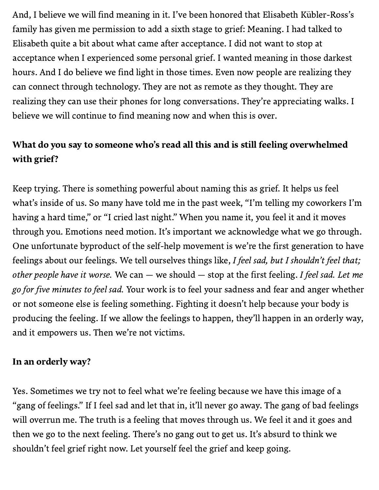And, I believe we will find meaning in it. I've been honored that Elisabeth Kübler-Ross's family has given me permission to add a sixth stage to grief: Meaning. I had talked to Elisabeth quite a bit about what came after acceptance. I did not want to stop at acceptance when I experienced some personal grief. I wanted meaning in those darkest hours. And I do believe we find light in those times. Even now people are realizing they can connect through technology. They are not as remote as they thought. They are realizing they can use their phones for long conversations. They're appreciating walks. I believe we will continue to find meaning now and when this is over.

## What do you say to someone who's read all this and is still feeling overwhelmed with grief?

Keep trying. There is something powerful about naming this as grief. It helps us feel what's inside of us. So many have told me in the past week, "I'm telling my coworkers I'm having a hard time," or "I cried last night." When you name it, you feel it and it moves through you. Emotions need motion. It's important we acknowledge what we go through. One unfortunate byproduct of the self-help movement is we're the first generation to have feelings about our feelings. We tell ourselves things like, I feel sad, but I shouldn't feel that; other people have it worse. We can  $-$  we should  $-$  stop at the first feeling. I feel sad. Let me go for five minutes to feel sad. Your work is to feel your sadness and fear and anger whether or not someone else is feeling something. Fighting it doesn't help because your body is producing the feeling. If we allow the feelings to happen, they'll happen in an orderly way, and it empowers us. Then we're not victims.

### In an orderly way?

Yes. Sometimes we try not to feel what we're feeling because we have this image of a "gang of feelings." If I feel sad and let that in, it'll never go away. The gang of bad feelings will overrun me. The truth is a feeling that moves through us. We feel it and it goes and then we go to the next feeling. There's no gang out to get us. It's absurd to think we shouldn't feel grief right now. Let yourself feel the grief and keep going.